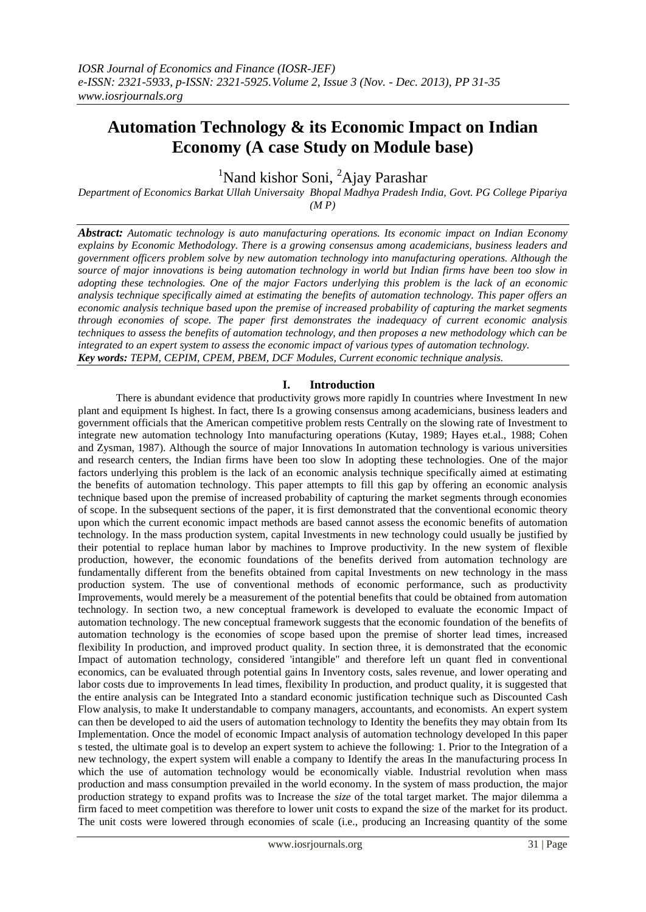# **Automation Technology & its Economic Impact on Indian Economy (A case Study on Module base)**

<sup>1</sup>Nand kishor Soni, <sup>2</sup>Ajay Parashar

*Department of Economics Barkat Ullah Universaity Bhopal Madhya Pradesh India, Govt. PG College Pipariya (M P)*

*Abstract: Automatic technology is auto manufacturing operations. Its economic impact on Indian Economy explains by Economic Methodology. There is a growing consensus among academicians, business leaders and government officers problem solve by new automation technology into manufacturing operations. Although the source of major innovations is being automation technology in world but Indian firms have been too slow in adopting these technologies. One of the major Factors underlying this problem is the lack of an economic analysis technique specifically aimed at estimating the benefits of automation technology. This paper offers an economic analysis technique based upon the premise of increased probability of capturing the market segments through economies of scope. The paper first demonstrates the inadequacy of current economic analysis techniques to assess the benefits of automation technology, and then proposes a new methodology which can be integrated to an expert system to assess the economic impact of various types of automation technology. Key words: TEPM, CEPIM, CPEM, PBEM, DCF Modules, Current economic technique analysis.*

#### **I. Introduction**

 There is abundant evidence that productivity grows more rapidly In countries where Investment In new plant and equipment Is highest. In fact, there Is a growing consensus among academicians, business leaders and government officials that the American competitive problem rests Centrally on the slowing rate of Investment to integrate new automation technology Into manufacturing operations (Kutay, 1989; Hayes et.al., 1988; Cohen and Zysman, 1987). Although the source of major Innovations In automation technology is various universities and research centers, the Indian firms have been too slow In adopting these technologies. One of the major factors underlying this problem is the lack of an economic analysis technique specifically aimed at estimating the benefits of automation technology. This paper attempts to fill this gap by offering an economic analysis technique based upon the premise of increased probability of capturing the market segments through economies of scope. In the subsequent sections of the paper, it is first demonstrated that the conventional economic theory upon which the current economic impact methods are based cannot assess the economic benefits of automation technology. In the mass production system, capital Investments in new technology could usually be justified by their potential to replace human labor by machines to Improve productivity. In the new system of flexible production, however, the economic foundations of the benefits derived from automation technology are fundamentally different from the benefits obtained from capital Investments on new technology in the mass production system. The use of conventional methods of economic performance, such as productivity Improvements, would merely be a measurement of the potential benefits that could be obtained from automation technology. In section two, a new conceptual framework is developed to evaluate the economic Impact of automation technology. The new conceptual framework suggests that the economic foundation of the benefits of automation technology is the economies of scope based upon the premise of shorter lead times, increased flexibility In production, and improved product quality. In section three, it is demonstrated that the economic Impact of automation technology, considered 'intangible" and therefore left un quant fled in conventional economics, can be evaluated through potential gains In Inventory costs, sales revenue, and lower operating and labor costs due to improvements In lead times, flexibility In production, and product quality, it is suggested that the entire analysis can be Integrated Into a standard economic justification technique such as Discounted Cash Flow analysis, to make It understandable to company managers, accountants, and economists. An expert system can then be developed to aid the users of automation technology to Identity the benefits they may obtain from Its Implementation. Once the model of economic Impact analysis of automation technology developed In this paper s tested, the ultimate goal is to develop an expert system to achieve the following: 1. Prior to the Integration of a new technology, the expert system will enable a company to Identify the areas In the manufacturing process In which the use of automation technology would be economically viable. Industrial revolution when mass production and mass consumption prevailed in the world economy. In the system of mass production, the major production strategy to expand profits was to Increase the *size* of the total target market. The major dilemma a firm faced to meet competition was therefore to lower unit costs to expand the size of the market for its product. The unit costs were lowered through economies of scale (i.e., producing an Increasing quantity of the some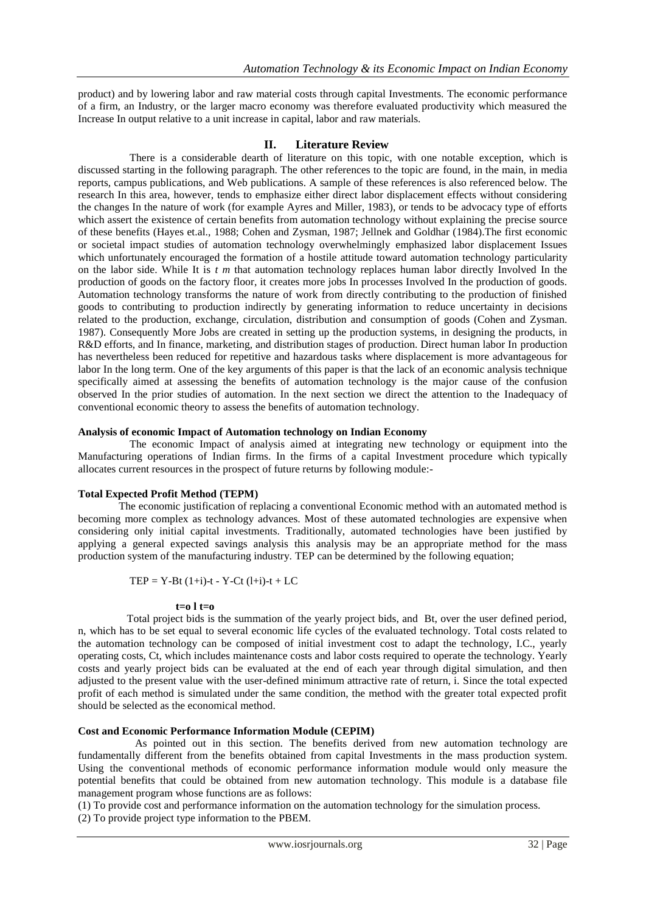product) and by lowering labor and raw material costs through capital Investments. The economic performance of a firm, an Industry, or the larger macro economy was therefore evaluated productivity which measured the Increase In output relative to a unit increase in capital, labor and raw materials.

# **II. Literature Review**

 There is a considerable dearth of literature on this topic, with one notable exception, which is discussed starting in the following paragraph. The other references to the topic are found, in the main, in media reports, campus publications, and Web publications. A sample of these references is also referenced below. The research In this area, however, tends to emphasize either direct labor displacement effects without considering the changes In the nature of work (for example Ayres and Miller, 1983), or tends to be advocacy type of efforts which assert the existence of certain benefits from automation technology without explaining the precise source of these benefits (Hayes et.al., 1988; Cohen and Zysman, 1987; Jellnek and Goldhar (1984).The first economic or societal impact studies of automation technology overwhelmingly emphasized labor displacement Issues which unfortunately encouraged the formation of a hostile attitude toward automation technology particularity on the labor side. While It is *t m* that automation technology replaces human labor directly Involved In the production of goods on the factory floor, it creates more jobs In processes Involved In the production of goods. Automation technology transforms the nature of work from directly contributing to the production of finished goods to contributing to production indirectly by generating information to reduce uncertainty in decisions related to the production, exchange, circulation, distribution and consumption of goods (Cohen and Zysman. 1987). Consequently More Jobs are created in setting up the production systems, in designing the products, in R&D efforts, and In finance, marketing, and distribution stages of production. Direct human labor In production has nevertheless been reduced for repetitive and hazardous tasks where displacement is more advantageous for labor In the long term. One of the key arguments of this paper is that the lack of an economic analysis technique specifically aimed at assessing the benefits of automation technology is the major cause of the confusion observed In the prior studies of automation. In the next section we direct the attention to the Inadequacy of conventional economic theory to assess the benefits of automation technology.

#### **Analysis of economic Impact of Automation technology on Indian Economy**

 The economic Impact of analysis aimed at integrating new technology or equipment into the Manufacturing operations of Indian firms. In the firms of a capital Investment procedure which typically allocates current resources in the prospect of future returns by following module:-

#### **Total Expected Profit Method (TEPM)**

 The economic justification of replacing a conventional Economic method with an automated method is becoming more complex as technology advances. Most of these automated technologies are expensive when considering only initial capital investments. Traditionally, automated technologies have been justified by applying a general expected savings analysis this analysis may be an appropriate method for the mass production system of the manufacturing industry. TEP can be determined by the following equation;

$$
TEP = Y-Bt (1+i)-t - Y-Ct (1+i)-t + LC
$$

#### $t=0$   $t=0$

 Total project bids is the summation of the yearly project bids, and Bt, over the user defined period, n, which has to be set equal to several economic life cycles of the evaluated technology. Total costs related to the automation technology can be composed of initial investment cost to adapt the technology, I.C., yearly operating costs, Ct, which includes maintenance costs and labor costs required to operate the technology. Yearly costs and yearly project bids can be evaluated at the end of each year through digital simulation, and then adjusted to the present value with the user-defined minimum attractive rate of return, i. Since the total expected profit of each method is simulated under the same condition, the method with the greater total expected profit should be selected as the economical method.

#### **Cost and Economic Performance Information Module (CEPIM)**

As pointed out in this section. The benefits derived from new automation technology are fundamentally different from the benefits obtained from capital Investments in the mass production system. Using the conventional methods of economic performance information module would only measure the potential benefits that could be obtained from new automation technology. This module is a database file management program whose functions are as follows:

(1) To provide cost and performance information on the automation technology for the simulation process.

(2) To provide project type information to the PBEM.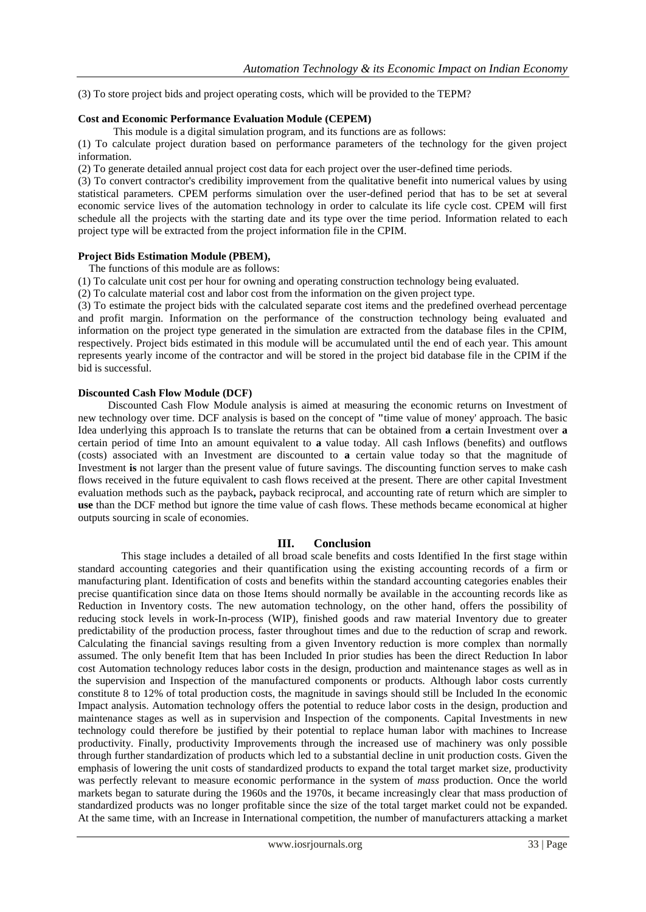(3) To store project bids and project operating costs, which will be provided to the TEPM?

#### **Cost and Economic Performance Evaluation Module (CEPEM)**

This module is a digital simulation program, and its functions are as follows:

(1) To calculate project duration based on performance parameters of the technology for the given project information.

(2) To generate detailed annual project cost data for each project over the user-defined time periods.

(3) To convert contractor's credibility improvement from the qualitative benefit into numerical values by using statistical parameters. CPEM performs simulation over the user-defined period that has to be set at several economic service lives of the automation technology in order to calculate its life cycle cost. CPEM will first schedule all the projects with the starting date and its type over the time period. Information related to each project type will be extracted from the project information file in the CPIM.

## **Project Bids Estimation Module (PBEM),**

The functions of this module are as follows:

(1) To calculate unit cost per hour for owning and operating construction technology being evaluated.

(2) To calculate material cost and labor cost from the information on the given project type.

(3) To estimate the project bids with the calculated separate cost items and the predefined overhead percentage and profit margin. Information on the performance of the construction technology being evaluated and information on the project type generated in the simulation are extracted from the database files in the CPIM, respectively. Project bids estimated in this module will be accumulated until the end of each year. This amount represents yearly income of the contractor and will be stored in the project bid database file in the CPIM if the bid is successful.

## **Discounted Cash Flow Module (DCF)**

Discounted Cash Flow Module analysis is aimed at measuring the economic returns on Investment of new technology over time. DCF analysis is based on the concept of **"**time value of money' approach. The basic Idea underlying this approach Is to translate the returns that can be obtained from **a** certain Investment over **a**  certain period of time Into an amount equivalent to **a** value today. All cash Inflows (benefits) and outflows (costs) associated with an Investment are discounted to **a** certain value today so that the magnitude of Investment **is** not larger than the present value of future savings. The discounting function serves to make cash flows received in the future equivalent to cash flows received at the present. There are other capital Investment evaluation methods such as the payback**,** payback reciprocal, and accounting rate of return which are simpler to **use** than the DCF method but ignore the time value of cash flows. These methods became economical at higher outputs sourcing in scale of economies.

# **III. Conclusion**

 This stage includes a detailed of all broad scale benefits and costs Identified In the first stage within standard accounting categories and their quantification using the existing accounting records of a firm or manufacturing plant. Identification of costs and benefits within the standard accounting categories enables their precise quantification since data on those Items should normally be available in the accounting records like as Reduction in Inventory costs. The new automation technology, on the other hand, offers the possibility of reducing stock levels in work-In-process (WIP), finished goods and raw material Inventory due to greater predictability of the production process, faster throughout times and due to the reduction of scrap and rework. Calculating the financial savings resulting from a given Inventory reduction is more complex than normally assumed. The only benefit Item that has been Included In prior studies has been the direct Reduction In labor cost Automation technology reduces labor costs in the design, production and maintenance stages as well as in the supervision and Inspection of the manufactured components or products. Although labor costs currently constitute 8 to 12% of total production costs, the magnitude in savings should still be Included In the economic Impact analysis. Automation technology offers the potential to reduce labor costs in the design, production and maintenance stages as well as in supervision and Inspection of the components. Capital Investments in new technology could therefore be justified by their potential to replace human labor with machines to Increase productivity. Finally, productivity Improvements through the increased use of machinery was only possible through further standardization of products which led to a substantial decline in unit production costs. Given the emphasis of lowering the unit costs of standardized products to expand the total target market size, productivity was perfectly relevant to measure economic performance in the system of *mass* production. Once the world markets began to saturate during the 1960s and the 1970s, it became increasingly clear that mass production of standardized products was no longer profitable since the size of the total target market could not be expanded. At the same time, with an Increase in International competition, the number of manufacturers attacking a market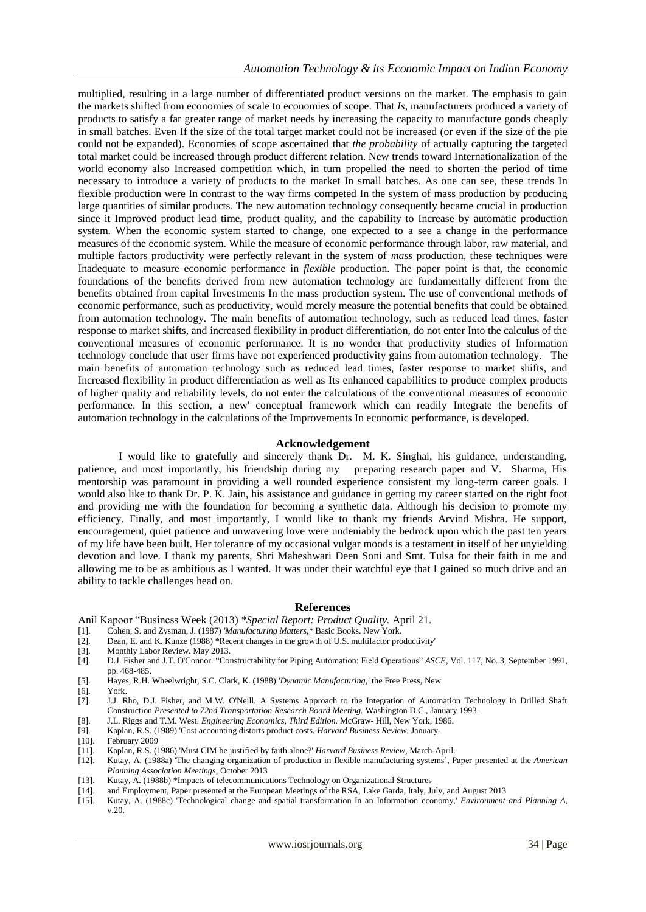multiplied, resulting in a large number of differentiated product versions on the market. The emphasis to gain the markets shifted from economies of scale to economies of scope. That *Is,* manufacturers produced a variety of products to satisfy a far greater range of market needs by increasing the capacity to manufacture goods cheaply in small batches. Even If the size of the total target market could not be increased (or even if the size of the pie could not be expanded). Economies of scope ascertained that *the probability* of actually capturing the targeted total market could be increased through product different relation. New trends toward Internationalization of the world economy also Increased competition which, in turn propelled the need to shorten the period of time necessary to introduce a variety of products to the market In small batches. As one can see, these trends In flexible production were In contrast to the way firms competed In the system of mass production by producing large quantities of similar products. The new automation technology consequently became crucial in production since it Improved product lead time, product quality, and the capability to Increase by automatic production system. When the economic system started to change, one expected to a see a change in the performance measures of the economic system. While the measure of economic performance through labor, raw material, and multiple factors productivity were perfectly relevant in the system of *mass* production, these techniques were Inadequate to measure economic performance in *flexible* production. The paper point is that, the economic foundations of the benefits derived from new automation technology are fundamentally different from the benefits obtained from capital Investments In the mass production system. The use of conventional methods of economic performance, such as productivity, would merely measure the potential benefits that could be obtained from automation technology. The main benefits of automation technology, such as reduced lead times, faster response to market shifts, and increased flexibility in product differentiation, do not enter Into the calculus of the conventional measures of economic performance. It is no wonder that productivity studies of Information technology conclude that user firms have not experienced productivity gains from automation technology. The main benefits of automation technology such as reduced lead times, faster response to market shifts, and Increased flexibility in product differentiation as well as Its enhanced capabilities to produce complex products of higher quality and reliability levels, do not enter the calculations of the conventional measures of economic performance. In this section, a new' conceptual framework which can readily Integrate the benefits of automation technology in the calculations of the Improvements In economic performance, is developed.

#### **Acknowledgement**

 I would like to gratefully and sincerely thank Dr. M. K. Singhai, his guidance, understanding, patience, and most importantly, his friendship during my preparing research paper and V. Sharma, His mentorship was paramount in providing a well rounded experience consistent my long-term career goals. I would also like to thank Dr. P. K. Jain, his assistance and guidance in getting my career started on the right foot and providing me with the foundation for becoming a synthetic data. Although his decision to promote my efficiency. Finally, and most importantly, I would like to thank my friends Arvind Mishra. He support, encouragement, quiet patience and unwavering love were undeniably the bedrock upon which the past ten years of my life have been built. Her tolerance of my occasional vulgar moods is a testament in itself of her unyielding devotion and love. I thank my parents, Shri Maheshwari Deen Soni and Smt. Tulsa for their faith in me and allowing me to be as ambitious as I wanted. It was under their watchful eye that I gained so much drive and an ability to tackle challenges head on.

#### **References**

Anil Kapoor "Business Week (2013) *\*Special Report: Product Quality.* April 21.

- [1]. Cohen, S. and Zysman, J. (1987) *'Manufacturing Matters,\** Basic Books. New York.
- [2]. Dean, E. and K. Kunze (1988) \*Recent changes in the growth of U.S. multifactor productivity'
- [3]. Monthly Labor Review. May 2013.<br>[4]. D.J. Fisher and J.T. O'Connor. "Cor
- [4]. D.J. Fisher and J.T. O'Connor. "Constructability for Piping Automation: Field Operations" *ASCE,* Vol. 117, No. 3, September 1991, pp. 468-485.
- [5]. Hayes, R.H. Wheelwright, S.C. Clark, K. (1988) *'Dynamic Manufacturing,'* the Free Press, New
- York.
- [7]. J.J. Rho, D.J. Fisher, and M.W. O'Neill. A Systems Approach to the Integration of Automation Technology in Drilled Shaft Construction *Presented to 72nd Transportation Research Board Meeting.* Washington D.C., January 1993.
- [8]. J.L. Riggs and T.M. West. *Engineering Economics, Third Edition.* McGraw- Hill, New York, 1986.
- [9]. Kaplan, R.S. (1989) 'Cost accounting distorts product costs. *Harvard Business Review,* January-
- [10]. February 2009
- [11]. Kaplan, R.S. (1986) 'Must CIM be justified by faith alone?' *Harvard Business Review,* March-April.
- [12]. Kutay, A. (1988a) 'The changing organization of production in flexible manufacturing systems', Paper presented at the *American Planning Association Meetings,* October 2013
- [13]. Kutay, A. (1988b) \*Impacts of telecommunications Technology on Organizational Structures
- [14]. and Employment, Paper presented at the European Meetings of the RSA, Lake Garda, Italy, July, and August 2013<br>[15]. Kutay, A. (1988c) 'Technological change and spatial transformation In an Information economy,' *Envi*
- [15]. Kutay, A. (1988c) 'Technological change and spatial transformation In an Information economy,' *Environment and Planning A,*  v.20.